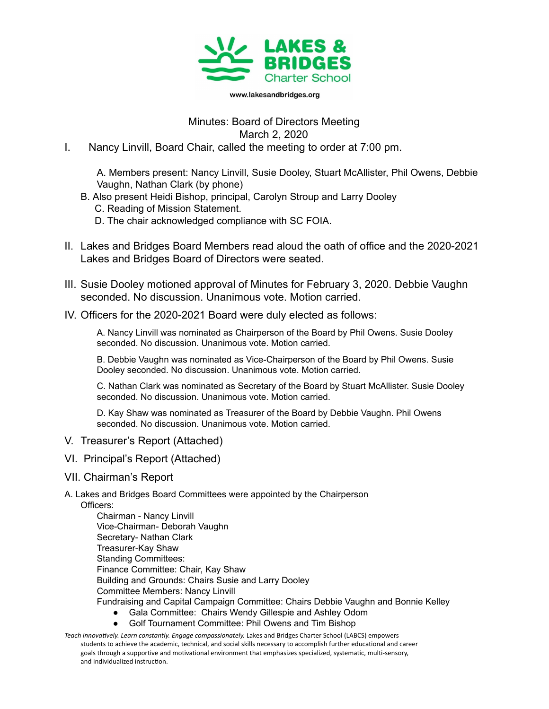

www.lakesandbridges.org

## Minutes: Board of Directors Meeting March 2, 2020

I. Nancy Linvill, Board Chair, called the meeting to order at 7:00 pm.

A. Members present: Nancy Linvill, Susie Dooley, Stuart McAllister, Phil Owens, Debbie Vaughn, Nathan Clark (by phone)

- B. Also present Heidi Bishop, principal, Carolyn Stroup and Larry Dooley
	- C. Reading of Mission Statement.
	- D. The chair acknowledged compliance with SC FOIA.
- II. Lakes and Bridges Board Members read aloud the oath of office and the 2020-2021 Lakes and Bridges Board of Directors were seated.
- III. Susie Dooley motioned approval of Minutes for February 3, 2020. Debbie Vaughn seconded. No discussion. Unanimous vote. Motion carried.
- IV. Officers for the 2020-2021 Board were duly elected as follows:

A. Nancy Linvill was nominated as Chairperson of the Board by Phil Owens. Susie Dooley seconded. No discussion. Unanimous vote. Motion carried.

B. Debbie Vaughn was nominated as Vice-Chairperson of the Board by Phil Owens. Susie Dooley seconded. No discussion. Unanimous vote. Motion carried.

C. Nathan Clark was nominated as Secretary of the Board by Stuart McAllister. Susie Dooley seconded. No discussion. Unanimous vote. Motion carried.

D. Kay Shaw was nominated as Treasurer of the Board by Debbie Vaughn. Phil Owens seconded. No discussion. Unanimous vote. Motion carried.

- V. Treasurer's Report (Attached)
- VI. Principal's Report (Attached)
- VII. Chairman's Report
- A. Lakes and Bridges Board Committees were appointed by the Chairperson Officers:
	- Chairman Nancy Linvill Vice-Chairman- Deborah Vaughn Secretary- Nathan Clark Treasurer-Kay Shaw Standing Committees: Finance Committee: Chair, Kay Shaw Building and Grounds: Chairs Susie and Larry Dooley Committee Members: Nancy Linvill Fundraising and Capital Campaign Committee: Chairs Debbie Vaughn and Bonnie Kelley
		- Gala Committee: Chairs Wendy Gillespie and Ashley Odom Golf Tournament Committee: Phil Owens and Tim Bishop
- Teach *innovatively. Learn constantly. Engage compassionately. Lakes and Bridges Charter School (LABCS) empowers* students to achieve the academic, technical, and social skills necessary to accomplish further educational and career goals through a supportive and motivational environment that emphasizes specialized, systematic, multi-sensory, and individualized instruction.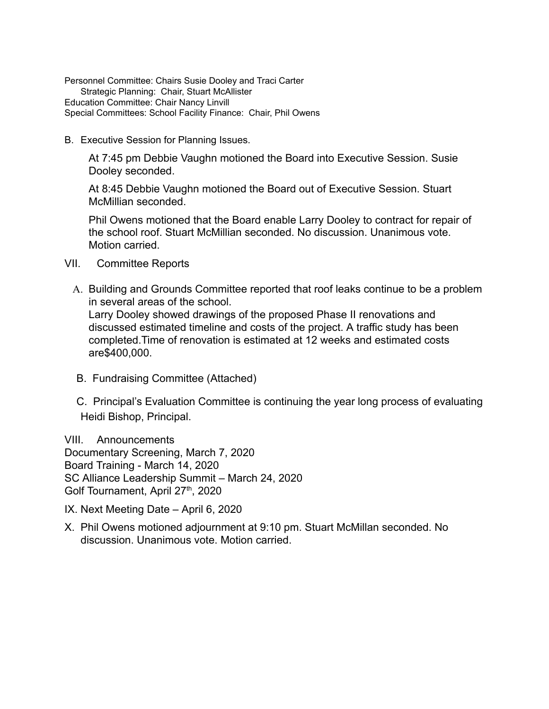Personnel Committee: Chairs Susie Dooley and Traci Carter Strategic Planning: Chair, Stuart McAllister Education Committee: Chair Nancy Linvill Special Committees: School Facility Finance: Chair, Phil Owens

B. Executive Session for Planning Issues.

At 7:45 pm Debbie Vaughn motioned the Board into Executive Session. Susie Dooley seconded.

At 8:45 Debbie Vaughn motioned the Board out of Executive Session. Stuart McMillian seconded.

Phil Owens motioned that the Board enable Larry Dooley to contract for repair of the school roof. Stuart McMillian seconded. No discussion. Unanimous vote. Motion carried.

- VII. Committee Reports
	- A. Building and Grounds Committee reported that roof leaks continue to be a problem in several areas of the school. Larry Dooley showed drawings of the proposed Phase II renovations and discussed estimated timeline and costs of the project. A traffic study has been completed.Time of renovation is estimated at 12 weeks and estimated costs are\$400,000.
	- B. Fundraising Committee (Attached)
	- C. Principal's Evaluation Committee is continuing the year long process of evaluating Heidi Bishop, Principal.

VIII. Announcements Documentary Screening, March 7, 2020 Board Training - March 14, 2020 SC Alliance Leadership Summit – March 24, 2020 Golf Tournament, April 27<sup>th</sup>, 2020

- IX. Next Meeting Date April 6, 2020
- X. Phil Owens motioned adjournment at 9:10 pm. Stuart McMillan seconded. No discussion. Unanimous vote. Motion carried.